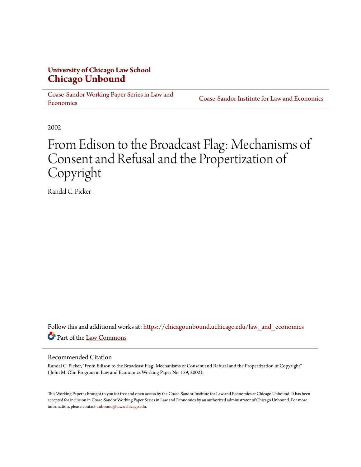## **University of Chicago Law School [Chicago Unbound](https://chicagounbound.uchicago.edu?utm_source=chicagounbound.uchicago.edu%2Flaw_and_economics%2F217&utm_medium=PDF&utm_campaign=PDFCoverPages)**

[Coase-Sandor Working Paper Series in Law and](https://chicagounbound.uchicago.edu/law_and_economics?utm_source=chicagounbound.uchicago.edu%2Flaw_and_economics%2F217&utm_medium=PDF&utm_campaign=PDFCoverPages) **[Economics](https://chicagounbound.uchicago.edu/law_and_economics?utm_source=chicagounbound.uchicago.edu%2Flaw_and_economics%2F217&utm_medium=PDF&utm_campaign=PDFCoverPages)** 

[Coase-Sandor Institute for Law and Economics](https://chicagounbound.uchicago.edu/coase_sandor_institute?utm_source=chicagounbound.uchicago.edu%2Flaw_and_economics%2F217&utm_medium=PDF&utm_campaign=PDFCoverPages)

2002

# From Edison to the Broadcast Flag: Mechanisms of Consent and Refusal and the Propertization of Copyright

Randal C. Picker

Follow this and additional works at: [https://chicagounbound.uchicago.edu/law\\_and\\_economics](https://chicagounbound.uchicago.edu/law_and_economics?utm_source=chicagounbound.uchicago.edu%2Flaw_and_economics%2F217&utm_medium=PDF&utm_campaign=PDFCoverPages) Part of the [Law Commons](http://network.bepress.com/hgg/discipline/578?utm_source=chicagounbound.uchicago.edu%2Flaw_and_economics%2F217&utm_medium=PDF&utm_campaign=PDFCoverPages)

#### Recommended Citation

Randal C. Picker, "From Edison to the Broadcast Flag: Mechanisms of Consent and Refusal and the Propertization of Copyright" ( John M. Olin Program in Law and Economics Working Paper No. 159, 2002).

This Working Paper is brought to you for free and open access by the Coase-Sandor Institute for Law and Economics at Chicago Unbound. It has been accepted for inclusion in Coase-Sandor Working Paper Series in Law and Economics by an authorized administrator of Chicago Unbound. For more information, please contact [unbound@law.uchicago.edu.](mailto:unbound@law.uchicago.edu)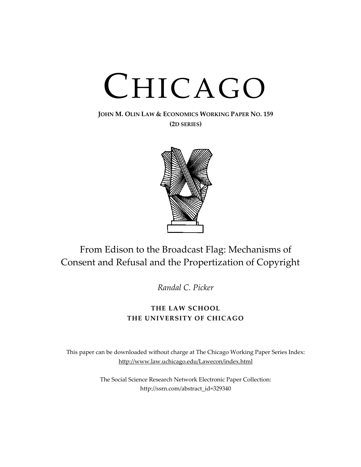# CHICAGO

# **JOHN M. OLIN LAW & ECONOMICS WORKING PAPER NO. 159**

**(2D SERIES)**



# From Edison to the Broadcast Flag: Mechanisms of Consent and Refusal and the Propertization of Copyright

*Randal C. Picker*

## **THE LAW SCHOOL THE UNIVERSITY OF CHICAGO**

This paper can be downloaded without charge at The Chicago Working Paper Series Index: [http://www.law.uchicago.edu/Lawecon/index.html](http://www.law.uchicago.edu/Publications/Working/index.html)

> The Social Science Research Network Electronic Paper Collection: [http://ssrn.com/abstract\\_id=329340](http://papers.ssrn.com/sol3/search.taf)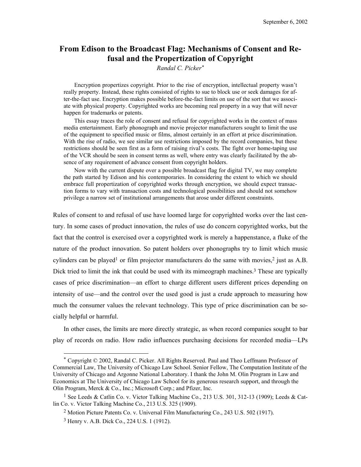### **From Edison to the Broadcast Flag: Mechanisms of Consent and Refusal and the Propertization of Copyright**

*Randal C. Picke[r\\*](#page-2-0)*

Encryption propertizes copyright. Prior to the rise of encryption, intellectual property wasn't really property. Instead, these rights consisted of rights to sue to block use or seek damages for after-the-fact use. Encryption makes possible before-the-fact limits on use of the sort that we associate with physical property. Copyrighted works are becoming real property in a way that will never happen for trademarks or patents.

This essay traces the role of consent and refusal for copyrighted works in the context of mass media entertainment. Early phonograph and movie projector manufacturers sought to limit the use of the equipment to specified music or films, almost certainly in an effort at price discrimination. With the rise of radio, we see similar use restrictions imposed by the record companies, but these restrictions should be seen first as a form of raising rival's costs. The fight over home-taping use of the VCR should be seen in consent terms as well, where entry was clearly facilitated by the absence of any requirement of advance consent from copyright holders.

Now with the current dispute over a possible broadcast flag for digital TV, we may complete the path started by Edison and his contemporaries. In considering the extent to which we should embrace full propertization of copyrighted works through encryption, we should expect transaction forms to vary with transaction costs and technological possibilities and should not somehow privilege a narrow set of institutional arrangements that arose under different constraints.

Rules of consent to and refusal of use have loomed large for copyrighted works over the last century. In some cases of product innovation, the rules of use do concern copyrighted works, but the fact that the control is exercised over a copyrighted work is merely a happenstance, a fluke of the nature of the product innovation. So patent holders over phonographs try to limit which music cylinders can be played<sup>1</sup> or film projector manufacturers do the same with movies,<sup>2</sup> just as  $A.B.$ Dick tried to limit the ink that could be used with its mimeograph machines.<sup>3</sup> These are typically cases of price discrimination—an effort to charge different users different prices depending on intensity of use—and the control over the used good is just a crude approach to measuring how much the consumer values the relevant technology. This type of price discrimination can be socially helpful or harmful.

In other cases, the limits are more directly strategic, as when record companies sought to bar play of records on radio. How radio influences purchasing decisions for recorded media—LPs

<span id="page-2-0"></span>1

<sup>\*</sup> Copyright © 2002, Randal C. Picker. All Rights Reserved. Paul and Theo Leffmann Professor of Commercial Law, The University of Chicago Law School. Senior Fellow, The Computation Institute of the University of Chicago and Argonne National Laboratory. I thank the John M. Olin Program in Law and Economics at The University of Chicago Law School for its generous research support, and through the Olin Program, Merck & Co., Inc.; Microsoft Corp.; and Pfizer, Inc.

<span id="page-2-1"></span><sup>&</sup>lt;sup>1</sup> See Leeds & Catlin Co. v. Victor Talking Machine Co., 213 U.S. 301, 312-13 (1909); Leeds & Catlin Co. v. Victor Talking Machine Co., 213 U.S. 325 (1909).

<span id="page-2-2"></span><sup>2</sup> Motion Picture Patents Co. v. Universal Film Manufacturing Co., 243 U.S. 502 (1917).

<span id="page-2-3"></span><sup>3</sup> Henry v. A.B. Dick Co., 224 U.S. 1 (1912).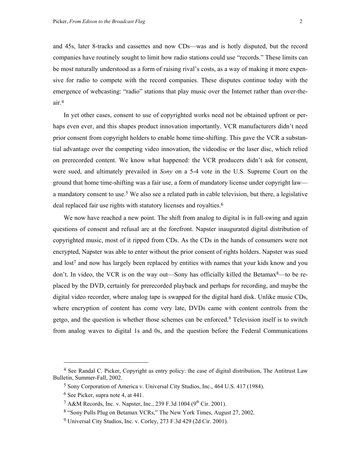and 45s, later 8-tracks and cassettes and now CDs—was and is hotly disputed, but the record companies have routinely sought to limit how radio stations could use "records." These limits can be most naturally understood as a form of raising rival's costs, as a way of making it more expensive for radio to compete with the record companies. These disputes continue today with the emergence of webcasting: "radio" stations that play music over the Internet rather than over-theair[.4](#page-3-0)

In yet other cases, consent to use of copyrighted works need not be obtained upfront or perhaps even ever, and this shapes product innovation importantly. VCR manufacturers didn't need prior consent from copyright holders to enable home time-shifting. This gave the VCR a substantial advantage over the competing video innovation, the videodisc or the laser disc, which relied on prerecorded content. We know what happened: the VCR producers didn't ask for consent, were sued, and ultimately prevailed in *Sony* on a 5-4 vote in the U.S. Supreme Court on the ground that home time-shifting was a fair use, a form of mandatory license under copyright law a mandatory consent to use.<sup>5</sup> We also see a related path in cable television, but there, a legislative deal replaced fair use rights with statutory licenses and royalties.<sup>[6](#page-3-2)</sup>

We now have reached a new point. The shift from analog to digital is in full-swing and again questions of consent and refusal are at the forefront. Napster inaugurated digital distribution of copyrighted music, most of it ripped from CDs. As the CDs in the hands of consumers were not encrypted, Napster was able to enter without the prior consent of rights holders. Napster was sued and  $\log$ <sup>7</sup> and now has largely been replaced by entities with names that your kids know and you don't. In video, the VCR is on the way out—Sony has officially killed the Betamax $8$ —to be replaced by the DVD, certainly for prerecorded playback and perhaps for recording, and maybe the digital video recorder, where analog tape is swapped for the digital hard disk. Unlike music CDs, where encryption of content has come very late, DVDs came with content controls from the getgo, and the question is whether those schemes can be enforced.[9](#page-3-5) Television itself is to switch from analog waves to digital 1s and 0s, and the question before the Federal Communications

<span id="page-3-0"></span><sup>&</sup>lt;sup>4</sup> See Randal C. Picker, Copyright as entry policy: the case of digital distribution, The Antitrust Law Bulletin, Summer-Fall, 2002.

<span id="page-3-1"></span><sup>5</sup> Sony Corporation of America v. Universal City Studios, Inc., 464 U.S. 417 (1984).

<span id="page-3-2"></span><sup>6</sup> See Picker, supra note 4, at 441.

<span id="page-3-3"></span><sup>&</sup>lt;sup>7</sup> A&M Records, Inc. v. Napster, Inc., 239 F.3d 1004 (9<sup>th</sup> Cir. 2001).

<span id="page-3-4"></span><sup>8 &</sup>quot;Sony Pulls Plug on Betamax VCRs," The New York Times, August 27, 2002.

<span id="page-3-5"></span><sup>9</sup> Universal City Studios, Inc. v. Corley, 273 F.3d 429 (2d Cir. 2001).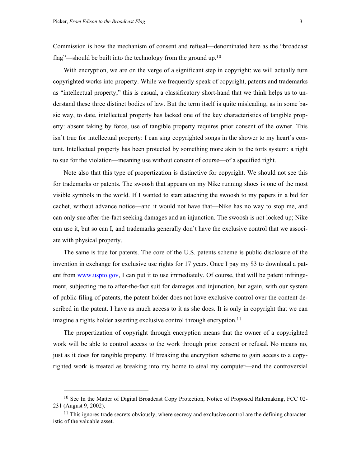<span id="page-4-0"></span> $\overline{\phantom{a}}$ 

Commission is how the mechanism of consent and refusal—denominated here as the "broadcast flag"—should be built into the technology from the ground up.<sup>[10](#page-4-0)</sup>

With encryption, we are on the verge of a significant step in copyright: we will actually turn copyrighted works into property. While we frequently speak of copyright, patents and trademarks as "intellectual property," this is casual, a classificatory short-hand that we think helps us to understand these three distinct bodies of law. But the term itself is quite misleading, as in some basic way, to date, intellectual property has lacked one of the key characteristics of tangible property: absent taking by force, use of tangible property requires prior consent of the owner. This isn't true for intellectual property: I can sing copyrighted songs in the shower to my heart's content. Intellectual property has been protected by something more akin to the torts system: a right to sue for the violation—meaning use without consent of course—of a specified right.

Note also that this type of propertization is distinctive for copyright. We should not see this for trademarks or patents. The swoosh that appears on my Nike running shoes is one of the most visible symbols in the world. If I wanted to start attaching the swoosh to my papers in a bid for cachet, without advance notice—and it would not have that—Nike has no way to stop me, and can only sue after-the-fact seeking damages and an injunction. The swoosh is not locked up; Nike can use it, but so can I, and trademarks generally don't have the exclusive control that we associate with physical property.

The same is true for patents. The core of the U.S. patents scheme is public disclosure of the invention in exchange for exclusive use rights for 17 years. Once I pay my \$3 to download a patent from [www.uspto.gov](http://www.uspto.gov/), I can put it to use immediately. Of course, that will be patent infringement, subjecting me to after-the-fact suit for damages and injunction, but again, with our system of public filing of patents, the patent holder does not have exclusive control over the content described in the patent. I have as much access to it as she does. It is only in copyright that we can imagine a rights holder asserting exclusive control through encryption.<sup>11</sup>

The propertization of copyright through encryption means that the owner of a copyrighted work will be able to control access to the work through prior consent or refusal. No means no, just as it does for tangible property. If breaking the encryption scheme to gain access to a copyrighted work is treated as breaking into my home to steal my computer—and the controversial

<sup>&</sup>lt;sup>10</sup> See In the Matter of Digital Broadcast Copy Protection, Notice of Proposed Rulemaking, FCC 02-231 (August 9, 2002).

<span id="page-4-1"></span> $11$  This ignores trade secrets obviously, where secrecy and exclusive control are the defining characteristic of the valuable asset.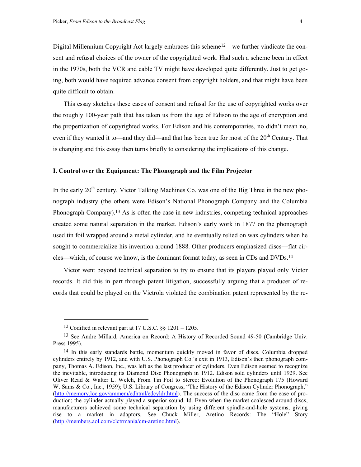Digital Millennium Copyright Act largely embraces this scheme<sup>[12—](#page-5-0)we</sup> further vindicate the consent and refusal choices of the owner of the copyrighted work. Had such a scheme been in effect in the 1970s, both the VCR and cable TV might have developed quite differently. Just to get going, both would have required advance consent from copyright holders, and that might have been quite difficult to obtain.

This essay sketches these cases of consent and refusal for the use of copyrighted works over the roughly 100-year path that has taken us from the age of Edison to the age of encryption and the propertization of copyrighted works. For Edison and his contemporaries, no didn't mean no, even if they wanted it to—and they did—and that has been true for most of the  $20<sup>th</sup>$  Century. That is changing and this essay then turns briefly to considering the implications of this change.

#### **I. Control over the Equipment: The Phonograph and the Film Projector**

In the early 20<sup>th</sup> century, Victor Talking Machines Co. was one of the Big Three in the new phonograph industry (the others were Edison's National Phonograph Company and the Columbia Phonograph Company).[13](#page-5-1) As is often the case in new industries, competing technical approaches created some natural separation in the market. Edison's early work in 1877 on the phonograph used tin foil wrapped around a metal cylinder, and he eventually relied on wax cylinders when he sought to commercialize his invention around 1888. Other producers emphasized discs—flat circles—which, of course we know, is the dominant format today, as seen in CDs and DVDs[.14](#page-5-2)

Victor went beyond technical separation to try to ensure that its players played only Victor records. It did this in part through patent litigation, successfully arguing that a producer of records that could be played on the Victrola violated the combination patent represented by the re-

<span id="page-5-1"></span><span id="page-5-0"></span><sup>&</sup>lt;sup>12</sup> Codified in relevant part at 17 U.S.C.  $\S\S 1201 - 1205$ .

<sup>13</sup> See Andre Millard, America on Record: A History of Recorded Sound 49-50 (Cambridge Univ. Press 1995).

<span id="page-5-2"></span><sup>&</sup>lt;sup>14</sup> In this early standards battle, momentum quickly moved in favor of discs. Columbia dropped cylinders entirely by 1912, and with U.S. Phonograph Co.'s exit in 1913, Edison's then phonograph company, Thomas A. Edison, Inc., was left as the last producer of cylinders. Even Edison seemed to recognize the inevitable, introducing its Diamond Disc Phonograph in 1912. Edison sold cylinders until 1929. See Oliver Read & Walter L. Welch, From Tin Foil to Stereo: Evolution of the Phonograph 175 (Howard W. Sams & Co., Inc., 1959); U.S. Library of Congress, "The History of the Edison Cylinder Phonograph," [\(http://memory.loc.gov/ammem/edhtml/edcyldr.html\)](http://memory.loc.gov/ammem/edhtml/edcyldr.html). The success of the disc came from the ease of production; the cylinder actually played a superior sound. Id. Even when the market coalesced around discs, manufacturers achieved some technical separation by using different spindle-and-hole systems, giving rise to a market in adaptors. See Chuck Miller, Aretino Records: The "Hole" Story [\(http://members.aol.com/clctrmania/cm-aretino.html\)](http://members.aol.com/clctrmania/cm-aretino.html).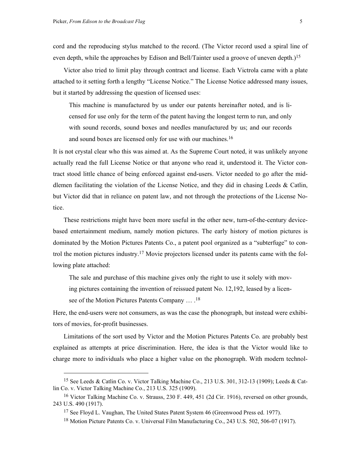cord and the reproducing stylus matched to the record. (The Victor record used a spiral line of even depth, while the approaches by Edison and Bell/Tainter used a groove of uneven depth.)<sup>[15](#page-6-0)</sup>

Victor also tried to limit play through contract and license. Each Victrola came with a plate attached to it setting forth a lengthy "License Notice." The License Notice addressed many issues, but it started by addressing the question of licensed uses:

This machine is manufactured by us under our patents hereinafter noted, and is licensed for use only for the term of the patent having the longest term to run, and only with sound records, sound boxes and needles manufactured by us; and our records and sound boxes are licensed only for use with our machines.<sup>[16](#page-6-1)</sup>

It is not crystal clear who this was aimed at. As the Supreme Court noted, it was unlikely anyone actually read the full License Notice or that anyone who read it, understood it. The Victor contract stood little chance of being enforced against end-users. Victor needed to go after the middlemen facilitating the violation of the License Notice, and they did in chasing Leeds & Catlin, but Victor did that in reliance on patent law, and not through the protections of the License Notice.

These restrictions might have been more useful in the other new, turn-of-the-century devicebased entertainment medium, namely motion pictures. The early history of motion pictures is dominated by the Motion Pictures Patents Co., a patent pool organized as a "subterfuge" to control the motion pictures industry[.17](#page-6-2) Movie projectors licensed under its patents came with the following plate attached:

The sale and purchase of this machine gives only the right to use it solely with mov-

ing pictures containing the invention of reissued patent No. 12,192, leased by a licen-

see of the Motion Pictures Patents Company ... .<sup>[18](#page-6-3)</sup>

<span id="page-6-0"></span>1

Here, the end-users were not consumers, as was the case the phonograph, but instead were exhibitors of movies, for-profit businesses.

Limitations of the sort used by Victor and the Motion Pictures Patents Co. are probably best explained as attempts at price discrimination. Here, the idea is that the Victor would like to charge more to individuals who place a higher value on the phonograph. With modern technol-

<sup>15</sup> See Leeds & Catlin Co. v. Victor Talking Machine Co., 213 U.S. 301, 312-13 (1909); Leeds & Catlin Co. v. Victor Talking Machine Co., 213 U.S. 325 (1909).

<span id="page-6-1"></span><sup>16</sup> Victor Talking Machine Co. v. Strauss, 230 F. 449, 451 (2d Cir. 1916), reversed on other grounds, 243 U.S. 490 (1917).

<span id="page-6-2"></span><sup>&</sup>lt;sup>17</sup> See Floyd L. Vaughan, The United States Patent System 46 (Greenwood Press ed. 1977).

<span id="page-6-3"></span><sup>18</sup> Motion Picture Patents Co. v. Universal Film Manufacturing Co., 243 U.S. 502, 506-07 (1917).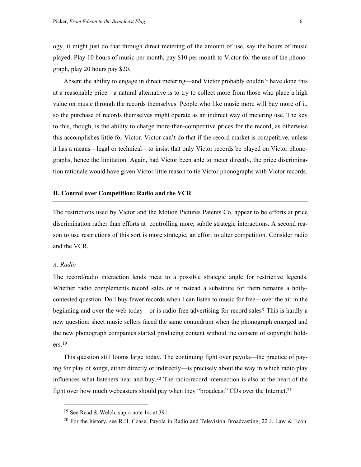<span id="page-7-1"></span>ogy, it might just do that through direct metering of the amount of use, say the hours of music played. Play 10 hours of music per month, pay \$10 per month to Victor for the use of the phonograph, play 20 hours pay \$20.

Absent the ability to engage in direct metering—and Victor probably couldn't have done this at a reasonable price—a natural alternative is to try to collect more from those who place a high value on music through the records themselves. People who like music more will buy more of it, so the purchase of records themselves might operate as an indirect way of metering use. The key to this, though, is the ability to charge more-than-competitive prices for the record, as otherwise this accomplishes little for Victor. Victor can't do that if the record market is competitive, unless it has a means—legal or technical—to insist that only Victor records be played on Victor phonographs, hence the limitation. Again, had Victor been able to meter directly, the price discrimination rationale would have given Victor little reason to tie Victor phonographs with Victor records.

#### **II. Control over Competition: Radio and the VCR**

The restrictions used by Victor and the Motion Pictures Patents Co. appear to be efforts at price discrimination rather than efforts at controlling more, subtle strategic interactions. A second reason to use restrictions of this sort is more strategic, an effort to alter competition. Consider radio and the VCR.

#### *A. Radio*

<span id="page-7-2"></span>1

The record/radio interaction lends meat to a possible strategic angle for restrictive legends. Whether radio complements record sales or is instead a substitute for them remains a hotlycontested question. Do I buy fewer records when I can listen to music for free—over the air in the beginning and over the web today—or is radio free advertising for record sales? This is hardly a new question: sheet music sellers faced the same conundrum when the phonograph emerged and the new phonograph companies started producing content without the consent of copyright hold- $ers.19$  $ers.19$ 

This question still looms large today. The continuing fight over payola—the practice of paying for play of songs, either directly or indirectly—is precisely about the way in which radio play influences what listeners hear and buy.[20 T](#page-7-1)he radio/record intersection is also at the heart of the fight over how much webcasters should pay when they "broadcast" CDs over the Internet.<sup>[21](#page-7-2)</sup>

<span id="page-7-0"></span><sup>19</sup> See Read & Welch, supra note 14, at 391.

<sup>20</sup> For the history, see R.H. Coase, Payola in Radio and Television Broadcasting, 22 J. Law & Econ.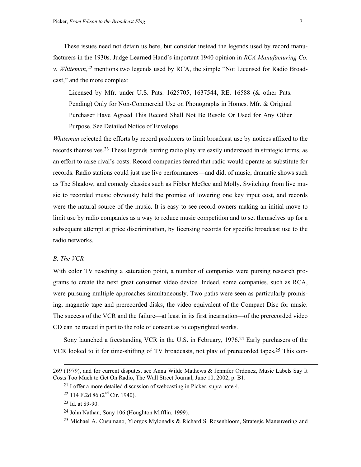<span id="page-8-3"></span>These issues need not detain us here, but consider instead the legends used by record manufacturers in the 1930s. Judge Learned Hand's important 1940 opinion in *RCA Manufacturing Co. v. Whiteman,*[22 m](#page-8-0)entions two legends used by RCA, the simple "Not Licensed for Radio Broadcast," and the more complex:

Licensed by Mfr. under U.S. Pats. 1625705, 1637544, RE. 16588 (& other Pats. Pending) Only for Non-Commercial Use on Phonographs in Homes. Mfr. & Original Purchaser Have Agreed This Record Shall Not Be Resold Or Used for Any Other Purpose. See Detailed Notice of Envelope.

*Whiteman* rejected the efforts by record producers to limit broadcast use by notices affixed to the records themselves.[23 T](#page-8-1)hese legends barring radio play are easily understood in strategic terms, as an effort to raise rival's costs. Record companies feared that radio would operate as substitute for records. Radio stations could just use live performances—and did, of music, dramatic shows such as The Shadow, and comedy classics such as Fibber McGee and Molly. Switching from live music to recorded music obviously held the promise of lowering one key input cost, and records were the natural source of the music. It is easy to see record owners making an initial move to limit use by radio companies as a way to reduce music competition and to set themselves up for a subsequent attempt at price discrimination, by licensing records for specific broadcast use to the radio networks.

#### *B. The VCR*

With color TV reaching a saturation point, a number of companies were pursing research programs to create the next great consumer video device. Indeed, some companies, such as RCA, were pursuing multiple approaches simultaneously. Two paths were seen as particularly promising, magnetic tape and prerecorded disks, the video equivalent of the Compact Disc for music. The success of the VCR and the failure—at least in its first incarnation—of the prerecorded video CD can be traced in part to the role of consent as to copyrighted works.

Sony launched a freestanding VCR in the U.S. in February, 1976[.24](#page-8-2) Early purchasers of the VCR looked to it for time-shifting of TV broadcasts, not play of prerecorded tapes[.25](#page-8-3) This con-

<sup>269 (1979),</sup> and for current disputes, see Anna Wilde Mathews & Jennifer Ordonez, Music Labels Say It Costs Too Much to Get On Radio, The Wall Street Journal, June 10, 2002, p. B1.

<sup>21</sup> I offer a more detailed discussion of webcasting in Picker, supra note 4.

<span id="page-8-0"></span> $22$  114 F.2d 86 ( $2<sup>nd</sup>$  Cir. 1940).

<span id="page-8-1"></span><sup>23</sup> Id. at 89-90.

<span id="page-8-2"></span><sup>24</sup> John Nathan, Sony 106 (Houghton Mifflin, 1999).

<sup>25</sup> Michael A. Cusumano, Yiorgos Mylonadis & Richard S. Rosenbloom, Strategic Maneuvering and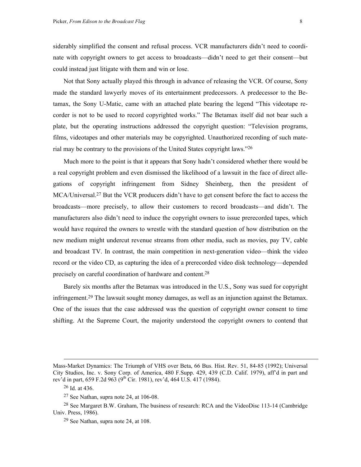siderably simplified the consent and refusal process. VCR manufacturers didn't need to coordinate with copyright owners to get access to broadcasts—didn't need to get their consent—but could instead just litigate with them and win or lose.

Not that Sony actually played this through in advance of releasing the VCR. Of course, Sony made the standard lawyerly moves of its entertainment predecessors. A predecessor to the Betamax, the Sony U-Matic, came with an attached plate bearing the legend "This videotape recorder is not to be used to record copyrighted works." The Betamax itself did not bear such a plate, but the operating instructions addressed the copyright question: "Television programs, films, videotapes and other materials may be copyrighted. Unauthorized recording of such material may be contrary to the provisions of the United States copyright laws."[26](#page-9-0)

Much more to the point is that it appears that Sony hadn't considered whether there would be a real copyright problem and even dismissed the likelihood of a lawsuit in the face of direct allegations of copyright infringement from Sidney Sheinberg, then the president of MCA/Universal.[27 B](#page-9-1)ut the VCR producers didn't have to get consent before the fact to access the broadcasts—more precisely, to allow their customers to record broadcasts—and didn't. The manufacturers also didn't need to induce the copyright owners to issue prerecorded tapes, which would have required the owners to wrestle with the standard question of how distribution on the new medium might undercut revenue streams from other media, such as movies, pay TV, cable and broadcast TV. In contrast, the main competition in next-generation video—think the video record or the video CD, as capturing the idea of a prerecorded video disk technology—depended precisely on careful coordination of hardware and content[.28](#page-9-2)

Barely six months after the Betamax was introduced in the U.S., Sony was sued for copyright infringement[.29](#page-9-3) The lawsuit sought money damages, as well as an injunction against the Betamax. One of the issues that the case addressed was the question of copyright owner consent to time shifting. At the Supreme Court, the majority understood the copyright owners to contend that

Mass-Market Dynamics: The Triumph of VHS over Beta, 66 Bus. Hist. Rev. 51, 84-85 (1992); Universal City Studios, Inc. v. Sony Corp. of America, 480 F.Supp. 429, 439 (C.D. Calif. 1979), aff'd in part and rev'd in part, 659 F.2d 963 (9<sup>th</sup> Cir. 1981), rev'd, 464 U.S. 417 (1984).

<span id="page-9-0"></span><sup>26</sup> Id. at 436.

<span id="page-9-2"></span><span id="page-9-1"></span><sup>27</sup> See Nathan, supra note 24, at 106-08.

<sup>28</sup> See Margaret B.W. Graham, The business of research: RCA and the VideoDisc 113-14 (Cambridge Univ. Press, 1986).

<span id="page-9-3"></span><sup>29</sup> See Nathan, supra note 24, at 108.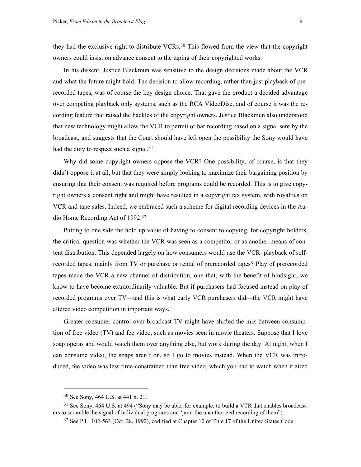they had the exclusive right to distribute VCRs[.30](#page-10-0) This flowed from the view that the copyright owners could insist on advance consent to the taping of their copyrighted works.

In his dissent, Justice Blackmun was sensitive to the design decisions made about the VCR and what the future might hold. The decision to allow recording, rather than just playback of prerecorded tapes, was of course the key design choice. That gave the product a decided advantage over competing playback only systems, such as the RCA VideoDisc, and of course it was the recording feature that raised the hackles of the copyright owners. Justice Blackmun also understood that new technology might allow the VCR to permit or bar recording based on a signal sent by the broadcast, and suggests that the Court should have left open the possibility the Sony would have had the duty to respect such a signal.<sup>31</sup>

Why did some copyright owners oppose the VCR? One possibility, of course, is that they didn't oppose it at all, but that they were simply looking to maximize their bargaining position by ensuring that their consent was required before programs could be recorded. This is to give copyright owners a consent right and might have resulted in a copyright tax system, with royalties on VCR and tape sales. Indeed, we embraced such a scheme for digital recording devices in the Audio Home Recording Act of 1992[.32](#page-10-2)

Putting to one side the hold up value of having to consent to copying, for copyright holders, the critical question was whether the VCR was seen as a competitor or as another means of content distribution. This depended largely on how consumers would use the VCR: playback of selfrecorded tapes, mainly from TV or purchase or rental of prerecorded tapes? Play of prerecorded tapes made the VCR a new channel of distribution, one that, with the benefit of hindsight, we know to have become extraordinarily valuable. But if purchasers had focused instead on play of recorded programs over TV—and this is what early VCR purchasers did—the VCR might have altered video competition in important ways.

Greater consumer control over broadcast TV might have shifted the mix between consumption of free video (TV) and fee video, such as movies seen in movie theaters. Suppose that I love soap operas and would watch them over anything else, but work during the day. At night, when I can consume video, the soaps aren't on, so I go to movies instead. When the VCR was introduced, fee video was less time-constrained than free video, which you had to watch when it aired

1

<span id="page-10-1"></span><span id="page-10-0"></span><sup>30</sup> See Sony, 464 U.S. at 441 n. 21.

<sup>&</sup>lt;sup>31</sup> See Sony, 464 U.S. at 494 ("Sony may be able, for example, to build a VTR that enables broadcasters to scramble the signal of individual programs and 'jam' the unauthorized recording of them").

<span id="page-10-2"></span><sup>32</sup> See P.L. 102-563 (Oct. 28, 1992), codified at Chapter 10 of Title 17 of the United States Code.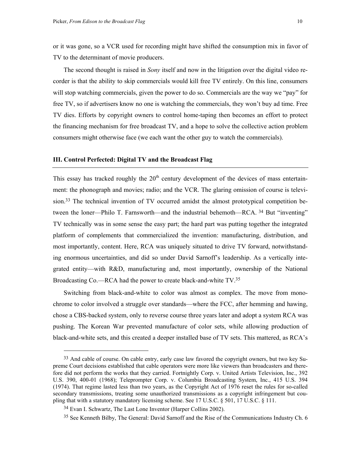<span id="page-11-2"></span>or it was gone, so a VCR used for recording might have shifted the consumption mix in favor of TV to the determinant of movie producers.

The second thought is raised in *Sony* itself and now in the litigation over the digital video recorder is that the ability to skip commercials would kill free TV entirely. On this line, consumers will stop watching commercials, given the power to do so. Commercials are the way we "pay" for free TV, so if advertisers know no one is watching the commercials, they won't buy ad time. Free TV dies. Efforts by copyright owners to control home-taping then becomes an effort to protect the financing mechanism for free broadcast TV, and a hope to solve the collective action problem consumers might otherwise face (we each want the other guy to watch the commercials).

#### **III. Control Perfected: Digital TV and the Broadcast Flag**

This essay has tracked roughly the  $20<sup>th</sup>$  century development of the devices of mass entertainment: the phonograph and movies; radio; and the VCR. The glaring omission of course is television.<sup>33</sup> The technical invention of TV occurred amidst the almost prototypical competition between the loner—Philo T. Farnsworth—and the industrial behemoth—RCA. <sup>34</sup> But "inventing" TV technically was in some sense the easy part; the hard part was putting together the integrated platform of complements that commercialized the invention: manufacturing, distribution, and most importantly, content. Here, RCA was uniquely situated to drive TV forward, notwithstanding enormous uncertainties, and did so under David Sarnoff's leadership. As a vertically integrated entity—with R&D, manufacturing and, most importantly, ownership of the National Broadcasting Co.—RCA had the power to create black-and-white TV.<sup>[35](#page-11-2)</sup>

Switching from black-and-white to color was almost as complex. The move from monochrome to color involved a struggle over standards—where the FCC, after hemming and hawing, chose a CBS-backed system, only to reverse course three years later and adopt a system RCA was pushing. The Korean War prevented manufacture of color sets, while allowing production of black-and-white sets, and this created a deeper installed base of TV sets. This mattered, as RCA's

<span id="page-11-0"></span><sup>&</sup>lt;sup>33</sup> And cable of course. On cable entry, early case law favored the copyright owners, but two key Supreme Court decisions established that cable operators were more like viewers than broadcasters and therefore did not perform the works that they carried. Fortnightly Corp. v. United Artists Television, Inc., 392 U.S. 390, 400-01 (1968); Teleprompter Corp. v. Columbia Broadcasting System, Inc., 415 U.S. 394 (1974). That regime lasted less than two years, as the Copyright Act of 1976 reset the rules for so-called secondary transmissions, treating some unauthorized transmissions as a copyright infringement but coupling that with a statutory mandatory licensing scheme. See 17 U.S.C. § 501, 17 U.S.C. § 111.

<span id="page-11-1"></span><sup>34</sup> Evan I. Schwartz, The Last Lone Inventor (Harper Collins 2002).

<sup>&</sup>lt;sup>35</sup> See Kenneth Bilby, The General: David Sarnoff and the Rise of the Communications Industry Ch. 6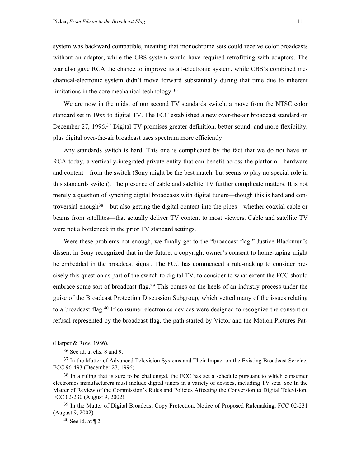system was backward compatible, meaning that monochrome sets could receive color broadcasts without an adaptor, while the CBS system would have required retrofitting with adaptors. The war also gave RCA the chance to improve its all-electronic system, while CBS's combined mechanical-electronic system didn't move forward substantially during that time due to inherent limitations in the core mechanical technology[.36](#page-12-0)

We are now in the midst of our second TV standards switch, a move from the NTSC color standard set in 19xx to digital TV. The FCC established a new over-the-air broadcast standard on December 27, 1996.<sup>37</sup> Digital TV promises greater definition, better sound, and more flexibility, plus digital over-the-air broadcast uses spectrum more efficiently.

Any standards switch is hard. This one is complicated by the fact that we do not have an RCA today, a vertically-integrated private entity that can benefit across the platform—hardware and content—from the switch (Sony might be the best match, but seems to play no special role in this standards switch). The presence of cable and satellite TV further complicate matters. It is not merely a question of synching digital broadcasts with digital tuners—though this is hard and controversial enoug[h38—](#page-12-2)but also getting the digital content into the pipes—whether coaxial cable or beams from satellites—that actually deliver TV content to most viewers. Cable and satellite TV were not a bottleneck in the prior TV standard settings.

Were these problems not enough, we finally get to the "broadcast flag." Justice Blackmun's dissent in Sony recognized that in the future, a copyright owner's consent to home-taping might be embedded in the broadcast signal. The FCC has commenced a rule-making to consider precisely this question as part of the switch to digital TV, to consider to what extent the FCC should embrace some sort of broadcast flag.<sup>39</sup> This comes on the heels of an industry process under the guise of the Broadcast Protection Discussion Subgroup, which vetted many of the issues relating to a broadcast flag[.40](#page-12-4) If consumer electronics devices were designed to recognize the consent or refusal represented by the broadcast flag, the path started by Victor and the Motion Pictures Pat-

-

<sup>(</sup>Harper & Row, 1986).

<span id="page-12-1"></span><span id="page-12-0"></span><sup>36</sup> See id. at chs. 8 and 9.

<sup>&</sup>lt;sup>37</sup> In the Matter of Advanced Television Systems and Their Impact on the Existing Broadcast Service, FCC 96-493 (December 27, 1996).

<span id="page-12-2"></span><sup>&</sup>lt;sup>38</sup> In a ruling that is sure to be challenged, the FCC has set a schedule pursuant to which consumer electronics manufacturers must include digital tuners in a variety of devices, including TV sets. See In the Matter of Review of the Commission's Rules and Policies Affecting the Conversion to Digital Television, FCC 02-230 (August 9, 2002).

<span id="page-12-3"></span><sup>&</sup>lt;sup>39</sup> In the Matter of Digital Broadcast Copy Protection, Notice of Proposed Rulemaking, FCC 02-231 (August 9, 2002).

<span id="page-12-4"></span> $40$  See id. at  $\P$  2.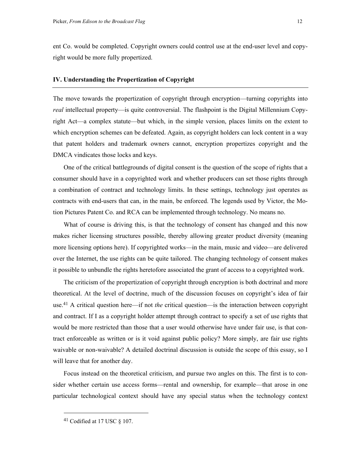ent Co. would be completed. Copyright owners could control use at the end-user level and copyright would be more fully propertized.

#### **IV. Understanding the Propertization of Copyright**

The move towards the propertization of copyright through encryption—turning copyrights into *real* intellectual property—is quite controversial. The flashpoint is the Digital Millennium Copyright Act—a complex statute—but which, in the simple version, places limits on the extent to which encryption schemes can be defeated. Again, as copyright holders can lock content in a way that patent holders and trademark owners cannot, encryption propertizes copyright and the DMCA vindicates those locks and keys.

One of the critical battlegrounds of digital consent is the question of the scope of rights that a consumer should have in a copyrighted work and whether producers can set those rights through a combination of contract and technology limits. In these settings, technology just operates as contracts with end-users that can, in the main, be enforced. The legends used by Victor, the Motion Pictures Patent Co. and RCA can be implemented through technology. No means no.

What of course is driving this, is that the technology of consent has changed and this now makes richer licensing structures possible, thereby allowing greater product diversity (meaning more licensing options here). If copyrighted works—in the main, music and video—are delivered over the Internet, the use rights can be quite tailored. The changing technology of consent makes it possible to unbundle the rights heretofore associated the grant of access to a copyrighted work.

The criticism of the propertization of copyright through encryption is both doctrinal and more theoretical. At the level of doctrine, much of the discussion focuses on copyright's idea of fair use[.41](#page-13-0) A critical question here—if not *the* critical question—is the interaction between copyright and contract. If I as a copyright holder attempt through contract to specify a set of use rights that would be more restricted than those that a user would otherwise have under fair use, is that contract enforceable as written or is it void against public policy? More simply, are fair use rights waivable or non-waivable? A detailed doctrinal discussion is outside the scope of this essay, so I will leave that for another day.

Focus instead on the theoretical criticism, and pursue two angles on this. The first is to consider whether certain use access forms—rental and ownership, for example—that arose in one particular technological context should have any special status when the technology context

1

<span id="page-13-0"></span><sup>41</sup> Codified at 17 USC § 107.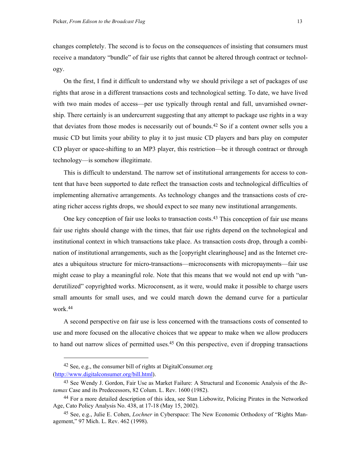changes completely. The second is to focus on the consequences of insisting that consumers must receive a mandatory "bundle" of fair use rights that cannot be altered through contract or technology.

On the first, I find it difficult to understand why we should privilege a set of packages of use rights that arose in a different transactions costs and technological setting. To date, we have lived with two main modes of access—per use typically through rental and full, unvarnished ownership. There certainly is an undercurrent suggesting that any attempt to package use rights in a way that deviates from those modes is necessarily out of bounds.[42](#page-14-0) So if a content owner sells you a music CD but limits your ability to play it to just music CD players and bars play on computer CD player or space-shifting to an MP3 player, this restriction—be it through contract or through technology—is somehow illegitimate.

This is difficult to understand. The narrow set of institutional arrangements for access to content that have been supported to date reflect the transaction costs and technological difficulties of implementing alternative arrangements. As technology changes and the transactions costs of creating richer access rights drops, we should expect to see many new institutional arrangements.

One key conception of fair use looks to transaction costs.[43 T](#page-14-1)his conception of fair use means fair use rights should change with the times, that fair use rights depend on the technological and institutional context in which transactions take place. As transaction costs drop, through a combination of institutional arrangements, such as the [copyright clearinghouse] and as the Internet creates a ubiquitous structure for micro-transactions—microconsents with micropayments—fair use might cease to play a meaningful role. Note that this means that we would not end up with "underutilized" copyrighted works. Microconsent, as it were, would make it possible to charge users small amounts for small uses, and we could march down the demand curve for a particular work.[44](#page-14-2)

A second perspective on fair use is less concerned with the transactions costs of consented to use and more focused on the allocative choices that we appear to make when we allow producers to hand out narrow slices of permitted uses[.45](#page-14-3) On this perspective, even if dropping transactions

<span id="page-14-0"></span><sup>42</sup> See, e.g., the consumer bill of rights at DigitalConsumer.org [\(http://www.digitalconsumer.org/bill.html\)](http://www.digitalconsumer.org/bill.html).

<span id="page-14-1"></span><sup>43</sup> See Wendy J. Gordon, Fair Use as Market Failure: A Structural and Economic Analysis of the *Betamax* Case and its Predecessors, 82 Colum. L. Rev. 1600 (1982).

<span id="page-14-2"></span><sup>44</sup> For a more detailed description of this idea, see Stan Liebowitz, Policing Pirates in the Networked Age, Cato Policy Analysis No. 438, at 17-18 (May 15, 2002).

<span id="page-14-3"></span><sup>45</sup> See, e.g., Julie E. Cohen, *Lochner* in Cyberspace: The New Economic Orthodoxy of "Rights Management," 97 Mich. L. Rev. 462 (1998).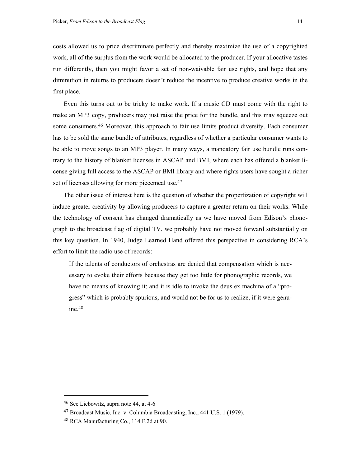costs allowed us to price discriminate perfectly and thereby maximize the use of a copyrighted work, all of the surplus from the work would be allocated to the producer. If your allocative tastes run differently, then you might favor a set of non-waivable fair use rights, and hope that any diminution in returns to producers doesn't reduce the incentive to produce creative works in the first place.

Even this turns out to be tricky to make work. If a music CD must come with the right to make an MP3 copy, producers may just raise the price for the bundle, and this may squeeze out some consumers.[46](#page-15-0) Moreover, this approach to fair use limits product diversity. Each consumer has to be sold the same bundle of attributes, regardless of whether a particular consumer wants to be able to move songs to an MP3 player. In many ways, a mandatory fair use bundle runs contrary to the history of blanket licenses in ASCAP and BMI, where each has offered a blanket license giving full access to the ASCAP or BMI library and where rights users have sought a richer set of licenses allowing for more piecemeal use.<sup>47</sup>

The other issue of interest here is the question of whether the propertization of copyright will induce greater creativity by allowing producers to capture a greater return on their works. While the technology of consent has changed dramatically as we have moved from Edison's phonograph to the broadcast flag of digital TV, we probably have not moved forward substantially on this key question. In 1940, Judge Learned Hand offered this perspective in considering RCA's effort to limit the radio use of records:

If the talents of conductors of orchestras are denied that compensation which is necessary to evoke their efforts because they get too little for phonographic records, we have no means of knowing it; and it is idle to invoke the deus ex machina of a "progress" which is probably spurious, and would not be for us to realize, if it were genuine.[48](#page-15-2)

-

<span id="page-15-0"></span><sup>46</sup> See Liebowitz, supra note 44, at 4-6

<span id="page-15-1"></span><sup>47</sup> Broadcast Music, Inc. v. Columbia Broadcasting, Inc., 441 U.S. 1 (1979).

<span id="page-15-2"></span><sup>48</sup> RCA Manufacturing Co., 114 F.2d at 90.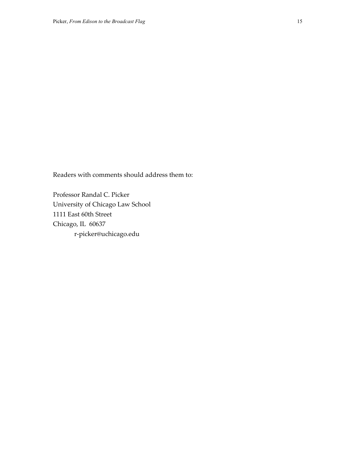Readers with comments should address them to:

Professor Randal C. Picker University of Chicago Law School 1111 East 60th Street Chicago, IL 60637 r-picker@uchicago.edu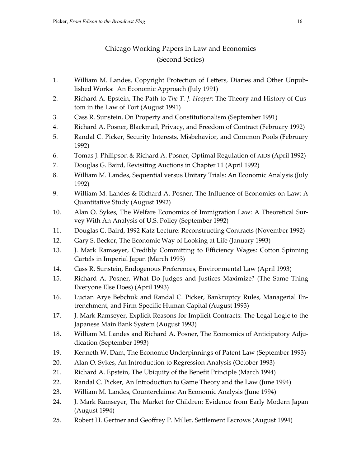## Chicago Working Papers in Law and Economics (Second Series)

- 1. William M. Landes, Copyright Protection of Letters, Diaries and Other Unpublished Works: An Economic Approach (July 1991)
- 2. Richard A. Epstein, The Path to *The T. J. Hooper*: The Theory and History of Custom in the Law of Tort (August 1991)
- 3. Cass R. Sunstein, On Property and Constitutionalism (September 1991)
- 4. Richard A. Posner, Blackmail, Privacy, and Freedom of Contract (February 1992)
- 5. Randal C. Picker, Security Interests, Misbehavior, and Common Pools (February 1992)
- 6. Tomas J. Philipson & Richard A. Posner, Optimal Regulation of AIDS (April 1992)
- 7. Douglas G. Baird, Revisiting Auctions in Chapter 11 (April 1992)
- 8. William M. Landes, Sequential versus Unitary Trials: An Economic Analysis (July 1992)
- 9. William M. Landes & Richard A. Posner, The Influence of Economics on Law: A Quantitative Study (August 1992)
- 10. Alan O. Sykes, The Welfare Economics of Immigration Law: A Theoretical Survey With An Analysis of U.S. Policy (September 1992)
- 11. Douglas G. Baird, 1992 Katz Lecture: Reconstructing Contracts (November 1992)
- 12. Gary S. Becker, The Economic Way of Looking at Life (January 1993)
- 13. J. Mark Ramseyer, Credibly Committing to Efficiency Wages: Cotton Spinning Cartels in Imperial Japan (March 1993)
- 14. Cass R. Sunstein, Endogenous Preferences, Environmental Law (April 1993)
- 15. Richard A. Posner, What Do Judges and Justices Maximize? (The Same Thing Everyone Else Does) (April 1993)
- 16. Lucian Arye Bebchuk and Randal C. Picker, Bankruptcy Rules, Managerial Entrenchment, and Firm-Specific Human Capital (August 1993)
- 17. J. Mark Ramseyer, Explicit Reasons for Implicit Contracts: The Legal Logic to the Japanese Main Bank System (August 1993)
- 18. William M. Landes and Richard A. Posner, The Economics of Anticipatory Adjudication (September 1993)
- 19. Kenneth W. Dam, The Economic Underpinnings of Patent Law (September 1993)
- 20. Alan O. Sykes, An Introduction to Regression Analysis (October 1993)
- 21. Richard A. Epstein, The Ubiquity of the Benefit Principle (March 1994)
- 22. Randal C. Picker, An Introduction to Game Theory and the Law (June 1994)
- 23. William M. Landes, Counterclaims: An Economic Analysis (June 1994)
- 24. J. Mark Ramseyer, The Market for Children: Evidence from Early Modern Japan (August 1994)
- 25. Robert H. Gertner and Geoffrey P. Miller, Settlement Escrows (August 1994)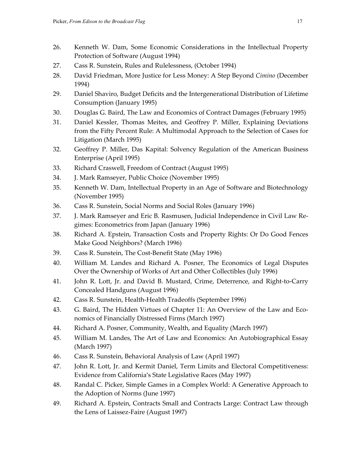- 26. Kenneth W. Dam, Some Economic Considerations in the Intellectual Property Protection of Software (August 1994)
- 27. Cass R. Sunstein, Rules and Rulelessness, (October 1994)
- 28. David Friedman, More Justice for Less Money: A Step Beyond *Cimino* (December 1994)
- 29. Daniel Shaviro, Budget Deficits and the Intergenerational Distribution of Lifetime Consumption (January 1995)
- 30. Douglas G. Baird, The Law and Economics of Contract Damages (February 1995)
- 31. Daniel Kessler, Thomas Meites, and Geoffrey P. Miller, Explaining Deviations from the Fifty Percent Rule: A Multimodal Approach to the Selection of Cases for Litigation (March 1995)
- 32. Geoffrey P. Miller, Das Kapital: Solvency Regulation of the American Business Enterprise (April 1995)
- 33. Richard Craswell, Freedom of Contract (August 1995)
- 34. J. Mark Ramseyer, Public Choice (November 1995)
- 35. Kenneth W. Dam, Intellectual Property in an Age of Software and Biotechnology (November 1995)
- 36. Cass R. Sunstein, Social Norms and Social Roles (January 1996)
- 37. J. Mark Ramseyer and Eric B. Rasmusen, Judicial Independence in Civil Law Regimes: Econometrics from Japan (January 1996)
- 38. Richard A. Epstein, Transaction Costs and Property Rights: Or Do Good Fences Make Good Neighbors? (March 1996)
- 39. Cass R. Sunstein, The Cost-Benefit State (May 1996)
- 40. William M. Landes and Richard A. Posner, The Economics of Legal Disputes Over the Ownership of Works of Art and Other Collectibles (July 1996)
- 41. John R. Lott, Jr. and David B. Mustard, Crime, Deterrence, and Right-to-Carry Concealed Handguns (August 1996)
- 42. Cass R. Sunstein, Health-Health Tradeoffs (September 1996)
- 43. G. Baird, The Hidden Virtues of Chapter 11: An Overview of the Law and Economics of Financially Distressed Firms (March 1997)
- 44. Richard A. Posner, Community, Wealth, and Equality (March 1997)
- 45. William M. Landes, The Art of Law and Economics: An Autobiographical Essay (March 1997)
- 46. Cass R. Sunstein, Behavioral Analysis of Law (April 1997)
- 47. John R. Lott, Jr. and Kermit Daniel, Term Limits and Electoral Competitiveness: Evidence from California's State Legislative Races (May 1997)
- 48. Randal C. Picker, Simple Games in a Complex World: A Generative Approach to the Adoption of Norms (June 1997)
- 49. Richard A. Epstein, Contracts Small and Contracts Large: Contract Law through the Lens of Laissez-Faire (August 1997)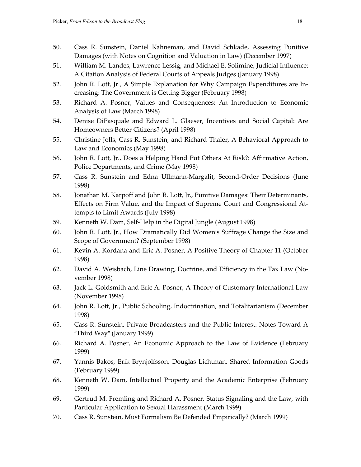- 50. Cass R. Sunstein, Daniel Kahneman, and David Schkade, Assessing Punitive Damages (with Notes on Cognition and Valuation in Law) (December 1997)
- 51. William M. Landes, Lawrence Lessig, and Michael E. Solimine, Judicial Influence: A Citation Analysis of Federal Courts of Appeals Judges (January 1998)
- 52. John R. Lott, Jr., A Simple Explanation for Why Campaign Expenditures are Increasing: The Government is Getting Bigger (February 1998)
- 53. Richard A. Posner, Values and Consequences: An Introduction to Economic Analysis of Law (March 1998)
- 54. Denise DiPasquale and Edward L. Glaeser, Incentives and Social Capital: Are Homeowners Better Citizens? (April 1998)
- 55. Christine Jolls, Cass R. Sunstein, and Richard Thaler, A Behavioral Approach to Law and Economics (May 1998)
- 56. John R. Lott, Jr., Does a Helping Hand Put Others At Risk?: Affirmative Action, Police Departments, and Crime (May 1998)
- 57. Cass R. Sunstein and Edna Ullmann-Margalit, Second-Order Decisions (June 1998)
- 58. Jonathan M. Karpoff and John R. Lott, Jr., Punitive Damages: Their Determinants, Effects on Firm Value, and the Impact of Supreme Court and Congressional Attempts to Limit Awards (July 1998)
- 59. Kenneth W. Dam, Self-Help in the Digital Jungle (August 1998)
- 60. John R. Lott, Jr., How Dramatically Did Women's Suffrage Change the Size and Scope of Government? (September 1998)
- 61. Kevin A. Kordana and Eric A. Posner, A Positive Theory of Chapter 11 (October 1998)
- 62. David A. Weisbach, Line Drawing, Doctrine, and Efficiency in the Tax Law (November 1998)
- 63. Jack L. Goldsmith and Eric A. Posner, A Theory of Customary International Law (November 1998)
- 64. John R. Lott, Jr., Public Schooling, Indoctrination, and Totalitarianism (December 1998)
- 65. Cass R. Sunstein, Private Broadcasters and the Public Interest: Notes Toward A "Third Way" (January 1999)
- 66. Richard A. Posner, An Economic Approach to the Law of Evidence (February 1999)
- 67. Yannis Bakos, Erik Brynjolfsson, Douglas Lichtman, Shared Information Goods (February 1999)
- 68. Kenneth W. Dam, Intellectual Property and the Academic Enterprise (February 1999)
- 69. Gertrud M. Fremling and Richard A. Posner, Status Signaling and the Law, with Particular Application to Sexual Harassment (March 1999)
- 70. Cass R. Sunstein, Must Formalism Be Defended Empirically? (March 1999)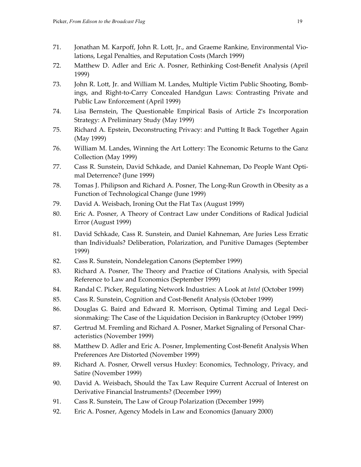- 71. Jonathan M. Karpoff, John R. Lott, Jr., and Graeme Rankine, Environmental Violations, Legal Penalties, and Reputation Costs (March 1999)
- 72. Matthew D. Adler and Eric A. Posner, Rethinking Cost-Benefit Analysis (April 1999)
- 73. John R. Lott, Jr. and William M. Landes, Multiple Victim Public Shooting, Bombings, and Right-to-Carry Concealed Handgun Laws: Contrasting Private and Public Law Enforcement (April 1999)
- 74. Lisa Bernstein, The Questionable Empirical Basis of Article 2's Incorporation Strategy: A Preliminary Study (May 1999)
- 75. Richard A. Epstein, Deconstructing Privacy: and Putting It Back Together Again (May 1999)
- 76. William M. Landes, Winning the Art Lottery: The Economic Returns to the Ganz Collection (May 1999)
- 77. Cass R. Sunstein, David Schkade, and Daniel Kahneman, Do People Want Optimal Deterrence? (June 1999)
- 78. Tomas J. Philipson and Richard A. Posner, The Long-Run Growth in Obesity as a Function of Technological Change (June 1999)
- 79. David A. Weisbach, Ironing Out the Flat Tax (August 1999)
- 80. Eric A. Posner, A Theory of Contract Law under Conditions of Radical Judicial Error (August 1999)
- 81. David Schkade, Cass R. Sunstein, and Daniel Kahneman, Are Juries Less Erratic than Individuals? Deliberation, Polarization, and Punitive Damages (September 1999)
- 82. Cass R. Sunstein, Nondelegation Canons (September 1999)
- 83. Richard A. Posner, The Theory and Practice of Citations Analysis, with Special Reference to Law and Economics (September 1999)
- 84. Randal C. Picker, Regulating Network Industries: A Look at *Intel* (October 1999)
- 85. Cass R. Sunstein, Cognition and Cost-Benefit Analysis (October 1999)
- 86. Douglas G. Baird and Edward R. Morrison, Optimal Timing and Legal Decisionmaking: The Case of the Liquidation Decision in Bankruptcy (October 1999)
- 87. Gertrud M. Fremling and Richard A. Posner, Market Signaling of Personal Characteristics (November 1999)
- 88. Matthew D. Adler and Eric A. Posner, Implementing Cost-Benefit Analysis When Preferences Are Distorted (November 1999)
- 89. Richard A. Posner, Orwell versus Huxley: Economics, Technology, Privacy, and Satire (November 1999)
- 90. David A. Weisbach, Should the Tax Law Require Current Accrual of Interest on Derivative Financial Instruments? (December 1999)
- 91. Cass R. Sunstein, The Law of Group Polarization (December 1999)
- 92. Eric A. Posner, Agency Models in Law and Economics (January 2000)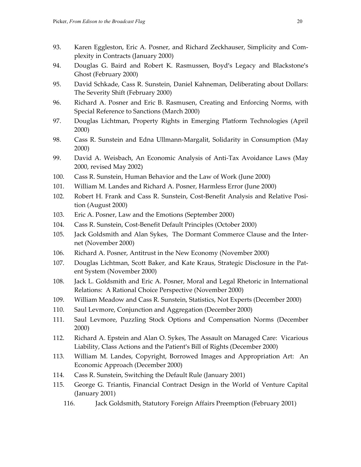- 93. Karen Eggleston, Eric A. Posner, and Richard Zeckhauser, Simplicity and Complexity in Contracts (January 2000)
- 94. Douglas G. Baird and Robert K. Rasmussen, Boyd's Legacy and Blackstone's Ghost (February 2000)
- 95. David Schkade, Cass R. Sunstein, Daniel Kahneman, Deliberating about Dollars: The Severity Shift (February 2000)
- 96. Richard A. Posner and Eric B. Rasmusen, Creating and Enforcing Norms, with Special Reference to Sanctions (March 2000)
- 97. Douglas Lichtman, Property Rights in Emerging Platform Technologies (April 2000)
- 98. Cass R. Sunstein and Edna Ullmann-Margalit, Solidarity in Consumption (May 2000)
- 99. David A. Weisbach, An Economic Analysis of Anti-Tax Avoidance Laws (May 2000, revised May 2002)
- 100. Cass R. Sunstein, Human Behavior and the Law of Work (June 2000)
- 101. William M. Landes and Richard A. Posner, Harmless Error (June 2000)
- 102. Robert H. Frank and Cass R. Sunstein, Cost-Benefit Analysis and Relative Position (August 2000)
- 103. Eric A. Posner, Law and the Emotions (September 2000)
- 104. Cass R. Sunstein, Cost-Benefit Default Principles (October 2000)
- 105. Jack Goldsmith and Alan Sykes, The Dormant Commerce Clause and the Internet (November 2000)
- 106. Richard A. Posner, Antitrust in the New Economy (November 2000)
- 107. Douglas Lichtman, Scott Baker, and Kate Kraus, Strategic Disclosure in the Patent System (November 2000)
- 108. Jack L. Goldsmith and Eric A. Posner, Moral and Legal Rhetoric in International Relations: A Rational Choice Perspective (November 2000)
- 109. William Meadow and Cass R. Sunstein, Statistics, Not Experts (December 2000)
- 110. Saul Levmore, Conjunction and Aggregation (December 2000)
- 111. Saul Levmore, Puzzling Stock Options and Compensation Norms (December 2000)
- 112. Richard A. Epstein and Alan O. Sykes, The Assault on Managed Care: Vicarious Liability, Class Actions and the Patient's Bill of Rights (December 2000)
- 113. William M. Landes, Copyright, Borrowed Images and Appropriation Art: An Economic Approach (December 2000)
- 114. Cass R. Sunstein, Switching the Default Rule (January 2001)
- 115. George G. Triantis, Financial Contract Design in the World of Venture Capital (January 2001)
	- 116. Jack Goldsmith, Statutory Foreign Affairs Preemption (February 2001)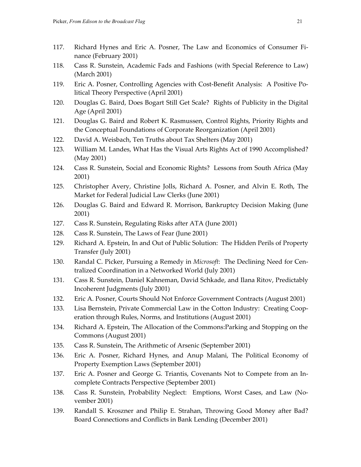- 117. Richard Hynes and Eric A. Posner, The Law and Economics of Consumer Finance (February 2001)
- 118. Cass R. Sunstein, Academic Fads and Fashions (with Special Reference to Law) (March 2001)
- 119. Eric A. Posner, Controlling Agencies with Cost-Benefit Analysis: A Positive Political Theory Perspective (April 2001)
- 120. Douglas G. Baird, Does Bogart Still Get Scale? Rights of Publicity in the Digital Age (April 2001)
- 121. Douglas G. Baird and Robert K. Rasmussen, Control Rights, Priority Rights and the Conceptual Foundations of Corporate Reorganization (April 2001)
- 122. David A. Weisbach, Ten Truths about Tax Shelters (May 2001)
- 123. William M. Landes, What Has the Visual Arts Rights Act of 1990 Accomplished? (May 2001)
- 124. Cass R. Sunstein, Social and Economic Rights? Lessons from South Africa (May 2001)
- 125. Christopher Avery, Christine Jolls, Richard A. Posner, and Alvin E. Roth, The Market for Federal Judicial Law Clerks (June 2001)
- 126. Douglas G. Baird and Edward R. Morrison, Bankruptcy Decision Making (June 2001)
- 127. Cass R. Sunstein, Regulating Risks after ATA (June 2001)
- 128. Cass R. Sunstein, The Laws of Fear (June 2001)
- 129. Richard A. Epstein, In and Out of Public Solution: The Hidden Perils of Property Transfer (July 2001)
- 130. Randal C. Picker, Pursuing a Remedy in *Microsoft*: The Declining Need for Centralized Coordination in a Networked World (July 2001)
- 131. Cass R. Sunstein, Daniel Kahneman, David Schkade, and Ilana Ritov, Predictably Incoherent Judgments (July 2001)
- 132. Eric A. Posner, Courts Should Not Enforce Government Contracts (August 2001)
- 133. Lisa Bernstein, Private Commercial Law in the Cotton Industry: Creating Cooperation through Rules, Norms, and Institutions (August 2001)
- 134. Richard A. Epstein, The Allocation of the Commons:Parking and Stopping on the Commons (August 2001)
- 135. Cass R. Sunstein, The Arithmetic of Arsenic (September 2001)
- 136. Eric A. Posner, Richard Hynes, and Anup Malani, The Political Economy of Property Exemption Laws (September 2001)
- 137. Eric A. Posner and George G. Triantis, Covenants Not to Compete from an Incomplete Contracts Perspective (September 2001)
- 138. Cass R. Sunstein, Probability Neglect: Emptions, Worst Cases, and Law (November 2001)
- 139. Randall S. Kroszner and Philip E. Strahan, Throwing Good Money after Bad? Board Connections and Conflicts in Bank Lending (December 2001)